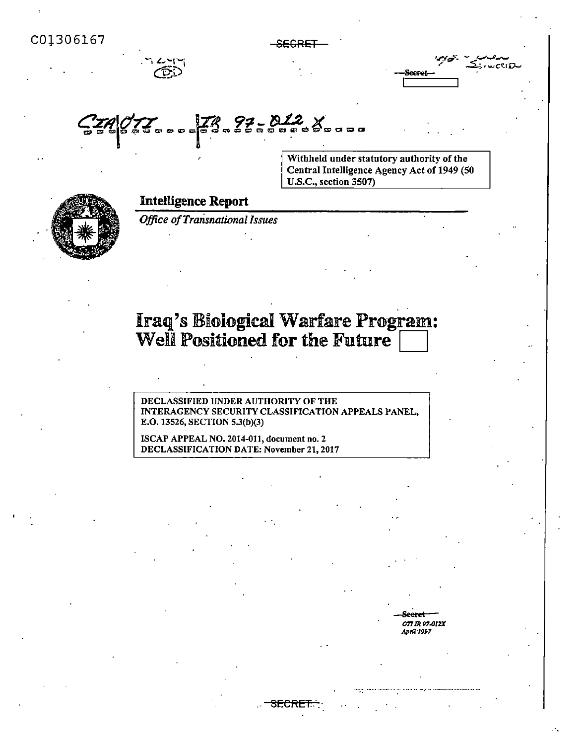$-$ SECRET  $2.7 - 0.07$ **SeePet q**~178.22-012. X ~~~~~~~~~~~~~~~~ Withheld under statutory authority of the Central Intelligence Agency Act of 1949 (50 U.S.C., section 3507) Intelligence Report *Office ofTransnational Issues*  Iraq's Biological Warfare Program: Well Positioned for the Future DECLASSIFIED UNDER AUTHORITY OF THE INTERAGENCY SECURITY CLASSIFICATION APPEALS PANEL, E.O. 13526, SECTION S.3(b)(3) ISCAP APPEAL NO. 2014-011, document no. 2 DECLASSIFICATION DATE: November 21, 2017 **Seerel**  077 IR **P1.0/2X**  *April'l991*  SECRET...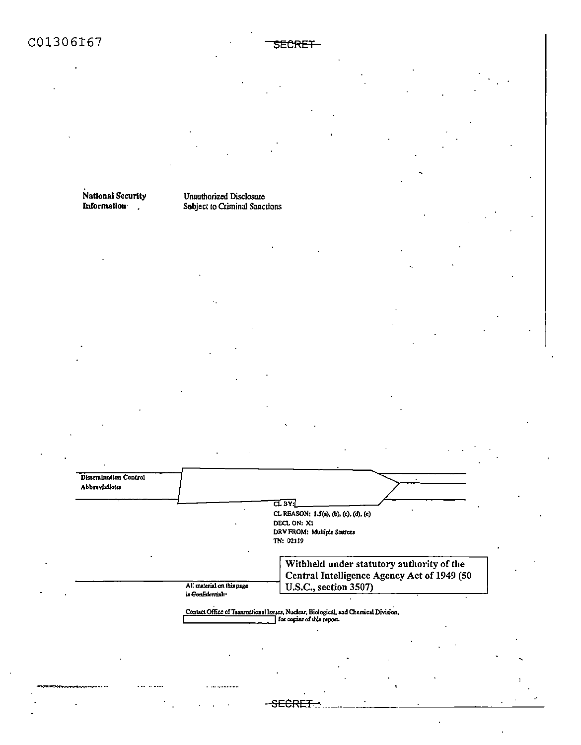# C01306167

### National Security **Information**

Dissemination Control Abbreviations

#### **Unauthorized Disclosure** Subject to Criminal Sanctions

**TL BY:** CL REASON: 1.5(a), (b), (c), (d), (e) DECL ON: X1 DRV FROM: Multiple Sources TN: 02119 Withheld under statutory authority of the

Central Intelligence Agency Act of 1949 (50 U.S.C., section 3507)

All material on this page is Confidential-

Contact Office of Transnational Issues, Nuclear, Biological, and Chemical Division,

<del>-SECRET</del>

SECRET-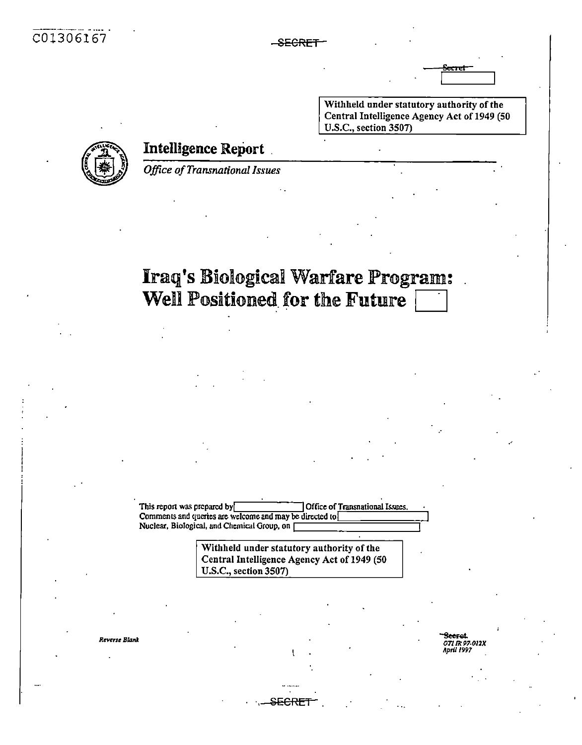-SECRET

Withheld under statutory authority of the Central Intelligence Agency Act of 1949 (50 U.S.C., section 3507)



**Intelligence Report** 

**Office of Transnational Issues** 

# **Iraq's Biological Warfare Program:** Well Positioned for the Future

This report was prepared by Office of Transnational Issues. Comments and queries are welcome and may be directed to Nuclear, Biological, and Chemical Group, on [

> Withheld under statutory authority of the Central Intelligence Agency Act of 1949 (50 U.S.C., section 3507)

> > E<del>CRFJ</del>

Reverse Blank

erat. 071 IR 97-012X April 1997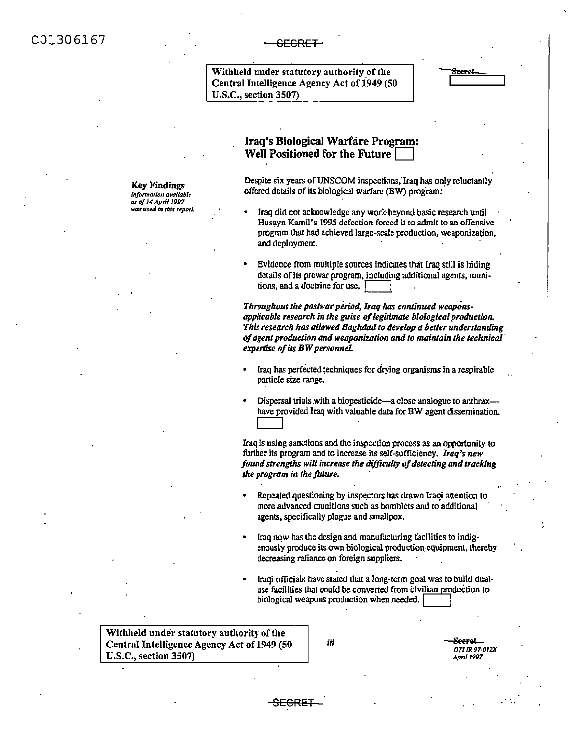C01306167 SECRET

Key Findings *lnfonnaUon* **available**  *as of* **J4 April 1991 MU** 111~ **In** *thl.r report.* 

Withheld under statutory authority of the Central Intelligence Agency Act of 1949 (50) U.S.C., section 3S07)



## Iraq's Biological Warfare Program: Well Positioned for the Future  $\vert$

Despite six years of UNSCOM inspections, Iraq has only reluctantly offered details of its biological warfare (BW) program:

- Iraq did not acknowledge any work beyond basic research until Husayn Kamil's 1995 defection forced it to admit to an offensive program that had achieved large-scale production, weaponization, and deployment.
- Evidence from multiple sources indicates that Iraq still is hiding details of Its prewar program, including additional agents, munitions, and a doctrine for use.

*Throughout the postwarperiod, Iraq* has *continued weapons*applicable research in the guise of legitimate biological production. *This research has allowed Baghdad to de"elop a better understanding ofagent production and weaponization and to maintain the technical· expertise ofits B W personnel* 

- Iraq has perfected techniques for drying organisms in a respirable panicle size range.
- Dispersal trials with a biopesticide-a close analogue to anthraxhave provided Iraq with valuable data for BW agent dissemination.  $\lfloor \ldots \rfloor$

Iraq is using sanctions and the inspection process as an opportunity to further its program and to increase its self-sufficiency. *Iraq's new*  found strengths will increase the difficulty of detecting and tracking *the program in the fuhue,* ·

- Repeated questioning by inspectors has drawn Iraqi attention to more advanced munitions such as bomblets and 10 additional agents, specilically plague and smallpox.
- Iraq now has the design and manufacturing facilities to indigenously produce its.own biological production,cquipmenl, thereby decreasing reliance on foreign suppliers.
- Iraqi officials have stated that a long-term goal was to build dualuse facilities that could be converted from civilian production to biological weapons production when needed.

Withheld under statutory authority of the Central Intelligence Agency Act of 1949 (SO U.S.C., section 3S07)

**iii 8eeret** *OT/ IR 97·012X April 1991* 

SEGRET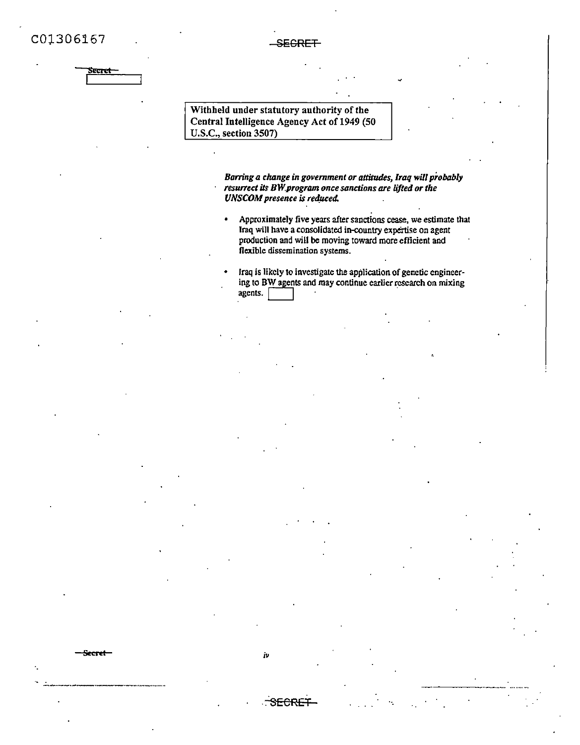

-SECRET-

Withheld under statutory authority of the Central Intelligence Agency Act of 1949 (50 U.S.C., section 3507)

iv

<del>SECRE</del>

Barring a change in government or attitudes, Iraq will probably resurrect its BW program once sanctions are lifted or the **UNSCOM** presence is reduced.

- Approximately five years after sanctions cease, we estimate that  $\bullet$ Iraq will have a consolidated in-country expertise on agent production and will be moving toward more efficient and flexible dissemination systems.
- Iraq is likely to investigate the application of genetic engineering to BW agents and may continue earlier research on mixing  $a$  gents.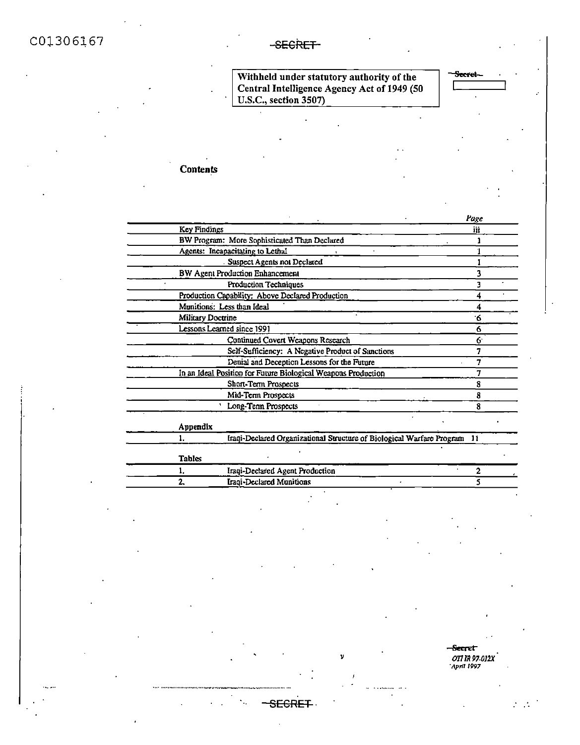Withheld under statutory authority of the<br>Central Intelligence Agency Act of 1949 (50<br>U.S.C., section 3507)

| <b>Secret-</b> |  |
|----------------|--|
|                |  |
|                |  |

# **Contents**

|                                                                             | Page |
|-----------------------------------------------------------------------------|------|
| Key Findings                                                                | iii  |
| BW Program: More Sophisticated Than Declared                                |      |
| Agents: Incapacitating to Lethal                                            |      |
| Suspect Agents not Declared                                                 |      |
| BW Agent Production Enhancement                                             |      |
| Production Techniques                                                       |      |
| Production Capability: Above Declared Production                            |      |
| Munitions: Less than Ideal                                                  |      |
| Military Doctrine                                                           | ۰6   |
| Lessons Learned since 1991                                                  | 6    |
| Continued Covert Weapons Research                                           |      |
| Self-Sufficiency: A Negative Product of Sanctions                           |      |
| Denial and Deception Lessons for the Future                                 | 7    |
| In an Ideal Position for Future Biological Weapons Production               |      |
| Short-Term Prospects                                                        |      |
| Mid-Term Prospects                                                          |      |
| Long-Term Prospects                                                         | 8    |
| Appendix                                                                    |      |
| Iraqi-Declared Organizational Structure of Biological Warfare Program<br>1. | 11   |
| <b>Tables</b>                                                               |      |
| Iraqi-Declared Agent Production<br>1.                                       | 2    |
| 2.<br>Iraqi-Declared Munitions                                              |      |

 $\mathbf{v}$ 

L.

<del>SECRET</del>

Secret<sup>-</sup> OTI IR 97-012X

> ÷,  $\mathcal{L}^{\mathcal{L}}$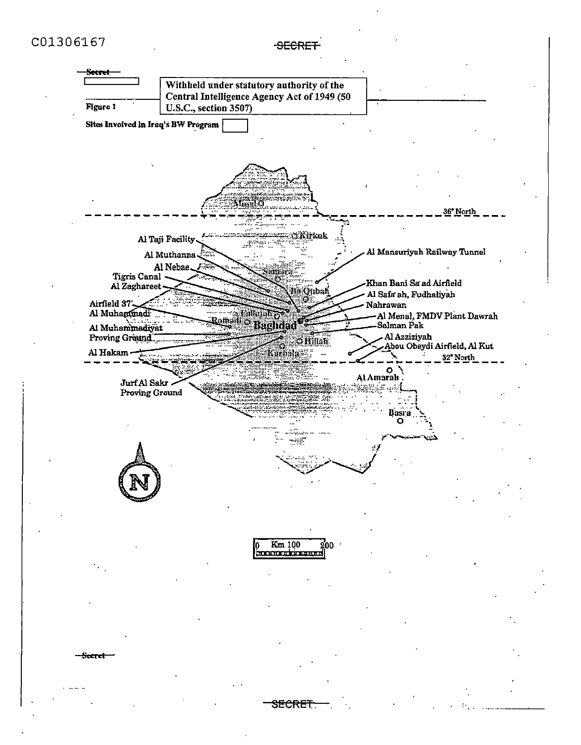**SECRET** 

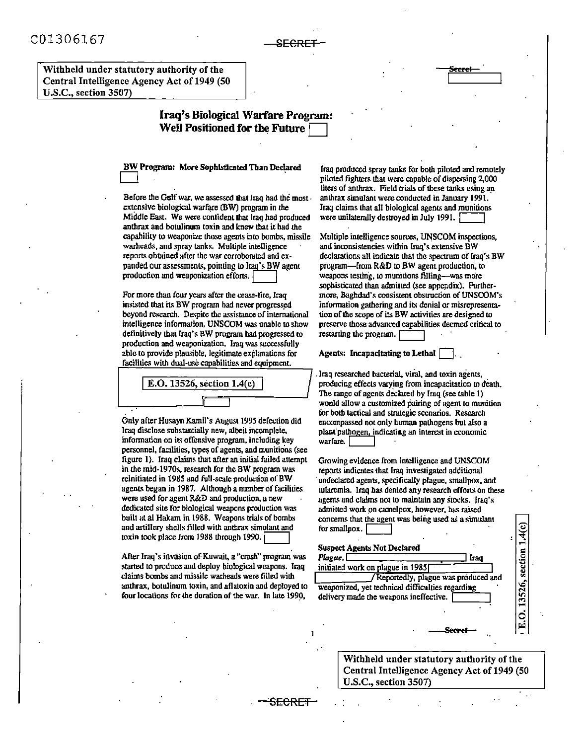<del>SECRE :</del>

Withheld under statutory authority of the Central Intelligence Agency Act of 1949 (50 **U.S.C., section 3507)** 

## Iraq's Biological Warfare Program: Well Positioned for the Future

BW Program: More Sophisticated Than Declared

Before the Gulf war, we assessed that Iraq had the most. extensive biological warfare (BW) program in the Middle East. We were contident that Iraq had produced anthrax and botulinum toxin and knew that it had the capability to weaponize those agents into bombs, missile warheads, and spray tanks. Multiple intelligence reports obtained after the war corroborated and expanded our assessments, pointing to Iraq's BW agent production and weaponization efforts.

For more than four years after the cease-fire, Iraq insisted that its BW program had never progressed beyond research. Despite the assistance of international intelligence information, UNSCOM was unable to show definitively that Iraq's BW program had progressed to production and weaponization. Iran was successfully able to provide plausible, legitimate explanations for facilities with dual-use canabilities and equipment.

E.O. 13526, section 1.4(c)

Only after Husayn Kamil's August 1995 defection did Iraq disclose substantially new, albeit incomplete. information on its offensive program, including key personnel, facilities, types of agents, and munitions (see figure 1). Iraq claims that after an initial failed attempt in the mid-1970s, research for the BW program was reinitiated in 1985 and full-scale production of BW agents began in 1987. Although a number of facilities were used for agent R&D and production, a new dedicated site for biological weapons production was built at al Hakam in 1988. Weapons trials of bombs and artiflery shells filled with anthrax simulant and toxin took place from 1988 through 1990.

After Iraq's invasion of Kuwait, a "crash" program was started to produce and deploy biological weapons. Iraq claims bombs and missile warheads were filled with anthrax, botulinum toxin, and aflatoxin and deployed to four locations for the duration of the war. In late 1990,

<del>SECRET</del>

Iraq produced spray tanks for both piloted and remotely piloted fighters that were capable of dispersing 2,000 liters of anthrax. Field trials of these tanks using an anthrax simulant were conducted in January 1991. Iraq claims that all biological agents and munitions were unilaterally destroyed in July 1991.

Multiple intelligence sources. UNSCOM inspections. and inconsistencies within Iraq's extensive BW declarations all indicate that the spectrum of Iraq's BW program-from R&D to BW agent production, to weapons testing, to munitions filling-was more sophisticated than admitted (see appendix). Furthermore, Baghdad's consistent obstruction of UNSCOM's information gathering and its denial or misrepresentation of the scope of its BW activities are designed to preserve those advanced capabilities deemed critical to restarting the program.

Agents: Incapacitating to Lethal

Iraq researched bacterial, viral, and toxin agents, producing effects varying from incapacitation to death. The range of agents declared by Iraq (see table 1) would allow a customized pairing of agent to munition for both tactical and strategic scenarios. Research encompassed not only human pathogens but also a plant pathogen, indicating an interest in economic warfare.

Growing evidence from intelligence and UNSCOM reports indicates that Iraq investigated additional undeclared agents, specifically plague, smallpox, and tularemia. Iraq has denied any research efforts on these agents and claims not to maintain any stocks. Iraq's admitted work on camelpox, however, has raised concerns that the agent was being used as a simulant for smallpox. [

#### **Suspect Agents Not Declared**



Withheld under statutory authority of the Central Intelligence Agency Act of 1949 (50 U.S.C., section 3507)

 $0.13526$ , section  $1.4(c)$ 

Εj.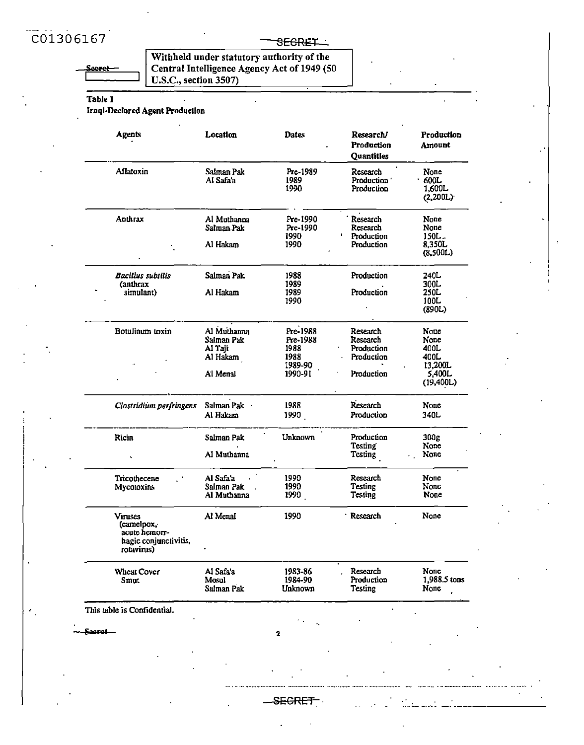$\pmb{\epsilon}$ 

## SEGRET

Withheld under statutory authority of the<br>Central Intelligence Agency Act of 1949 (50<br>U.S.C., section 3507)

Table 1

**Iraql-Declared Agent Production** 

| <b>Agents</b>                                                                 | Location                         | <b>Dates</b>                  | Research/<br>Production<br><b>Quantities</b>      | Production<br>Amount               |
|-------------------------------------------------------------------------------|----------------------------------|-------------------------------|---------------------------------------------------|------------------------------------|
| Aflatoxin                                                                     | Salman Pak<br>Al Safa'a          | Prc-1989<br>1989<br>1990      | Research<br>Production <sup>*</sup><br>Production | None<br>600L<br>1,600L<br>(2,200L) |
| Anthrax                                                                       | Al Muthanna<br>Salman Pak        | Pre-1990<br>Pre-1990<br>1990  | Research<br>Research<br>Production                | None<br>None<br>$150L -$           |
|                                                                               | Al Hakam                         | 1990                          | Production                                        | 8.350L<br>(8,500L)                 |
| <b>Bacillus</b> subtilis<br><i>(anthrax</i>                                   | Salman Pak                       | 1988<br>1989                  | Production                                        | 240L<br>300L                       |
| simulant)                                                                     | Al Hakam                         | 1989<br>1990                  | Production                                        | 250L<br>100L<br>(890L)             |
| Botulinum toxin                                                               | Al Muthanna                      | Pre-1988                      | Research                                          | None                               |
|                                                                               | Salman Pak                       | Pre-1988                      | Research<br>Production                            | None<br>400L                       |
|                                                                               | Al Taji<br>Al Hakam              | 1988<br>1988                  | Production                                        | 400L                               |
|                                                                               |                                  | 1989-90                       |                                                   | 13,200L                            |
|                                                                               | Al Menal                         | 1990-91                       | Production                                        | 5,400L<br>(19,400L)                |
| Clostridium perfringens                                                       | Salman Pak ·                     | 1988                          | Research                                          | None                               |
|                                                                               | Al Hakam                         | 1990                          | Production                                        | 340L                               |
| Ricin                                                                         | Salman Pak                       | <b>Unknown</b>                | Production                                        | 300g                               |
|                                                                               | Al Muthanna                      |                               | <b>Testing</b><br>Testing                         | None<br>None                       |
| Tricothecene                                                                  | Al Safa'a                        | 1990                          | Research                                          | None                               |
| Mycotoxins                                                                    | Salman Pak<br>Al Muthanna        | 1990<br>1990                  | Testing<br>Testing                                | None<br>None                       |
| Viruses<br>(camelpox,<br>acute hemorr-<br>hagic conjunctivitis,<br>rotavirus) | Al Menal                         | 1990                          | Research                                          | None                               |
| <b>Wheat Cover</b><br>Smut                                                    | Al Safa'a<br>Mosul<br>Salman Pak | 1983-86<br>1984-90<br>Unknown | Research<br>Production<br>Testing                 | None<br>1,988.5 tons<br>None       |
| This table is Confidential.                                                   |                                  |                               |                                                   |                                    |
| -Secret---                                                                    |                                  | 2                             |                                                   |                                    |

<del>\_SECRET\_</del>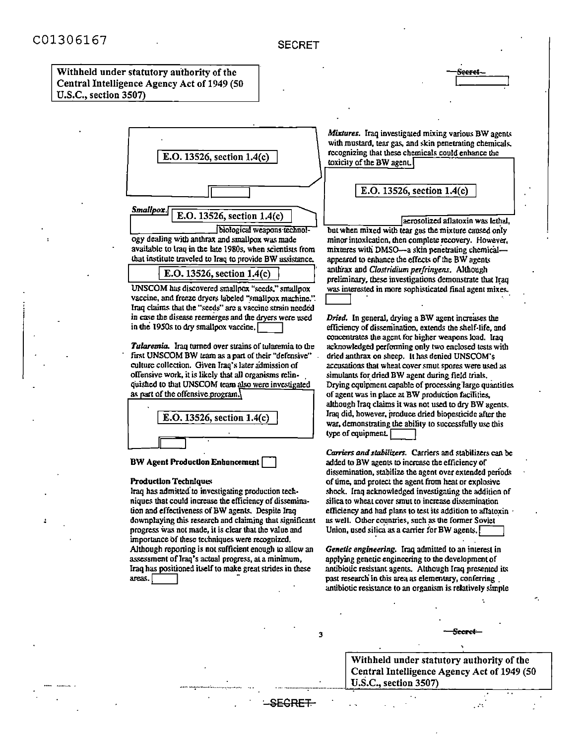#### SECRET

#### Withheld under statutory authority of the Central Intelligence Agency Act of 1949 (50 U.S.C., section 3507)



ogy dealing with anthrax and smallpox was made available to traq in the late 1980s, when scientists from that institute traveled to Iraq to provide BW assistance.

|  | E.O. 13526, section $1.4(c)$ |  |
|--|------------------------------|--|
|  |                              |  |

UNSCOM has discovered smallpox "seeds," smallpox vaccine, and freeze dryers labeled "smallpox machine.". Iraq claims that the "secds" are a vaccine strain needed in case the disease reemerges and the dryers were used in the 1950s to dry smallpox vaccine.

Tularemia. Iraq turned over strains of tularemia to the first UNSCOM BW team as a part of their "defensive" culture collection. Given Iraq's later admission of offensive work, it is likely that all organisms relinquished to that UNSCOM team also were investigated as part of the offensive program.

E.O. 13526, section 1.4(c)

#### **BW Agent Production Enhancement**

#### **Production Techniques**

Iraq has admitted to investigating production techniques that could increase the efficiency of dissemination and effectiveness of BW agents, Despite Iraq downplaying this research and claiming that significant progress was not made, it is clear that the value and importance of these techniques were recognized. Although reporting is not sufficient enough to allow an assessment of Iraq's actual progress, at a minimum, Iraq has positioned itself to make great strides in these areas.

<del>SEGRET.</del>

Mixtures. Iraq investigated mixing various BW agents with mustard, tear gas, and skin penetrating chemicals. recognizing that these chemicals could enhance the toxicity of the BW agent.

E.O. 13526, section 1.4(c)

aerosolized aflatoxin was lethal. but when mixed with tear gas the mixture caused only minor intoxication, then complete recovery. However, mixtures with DMSO--a skin penetrating chemicalappeared to enhance the effects of the BW agents anthrax and Clostridium perfringens. Although preliminary, these investigations demonstrate that Iraq was interested in more sophisticated final agent mixes.

Dried. In general, drying a BW agent increases the efficiency of dissemination, extends the shelf-life, and concentrates the agent for higher weapons load. Iraq acknowledged performing only two enclosed tests with dried anthrax on sheep. It has denied UNSCOM's accusations that wheat cover smut spores were used as simulants for dried BW agent during field trials. Drying equipment capable of processing large quantities of agent was in place at BW production facilities, although Iraq claims it was not used to dry BW agents. Iraq did, however, produce dried biopesticide after the war, demonstrating the ability to successfully use this type of equipment.

Carriers and stabilizers. Carriers and stabilizers can be added to BW agents to increase the efficiency of dissemination, stabilize the agent over extended periods of time, and protect the agent from heat or explosive shock. Iraq acknowledged investigating the addition of silica to wheat cover smut to increase dissemination efficiency and had plans to test its addition to aflatoxin as well. Other countries, such as the former Soviet Union, used silica as a carrier for BW agents.

Genetic engineering. Iraq admitted to an interest in applying genetic engineering to the development of antibiotic resistant agents. Although Iraq presented its past research in this area as elementary, conferring antibiotic resistance to an organism is relatively simple

Withheld under statutory authority of the Central Intelligence Agency Act of 1949 (50 U.S.C., section 3507)

Secret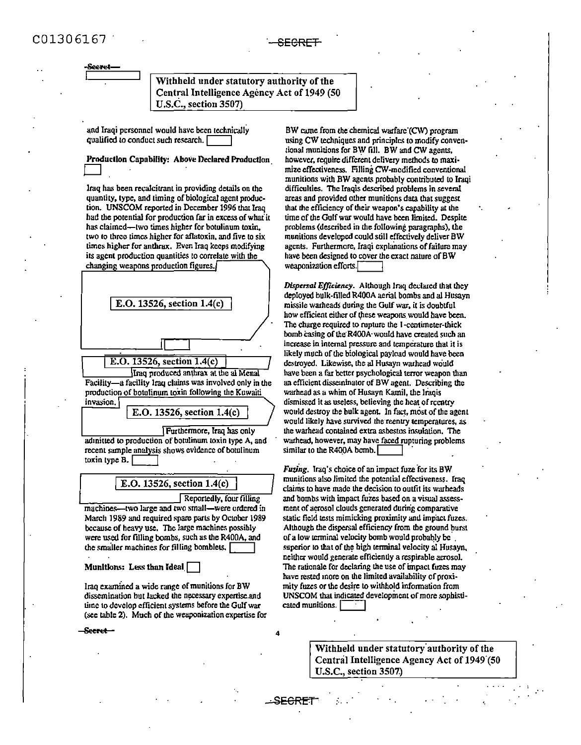Withheld under statutory authority of the Central Intelligence Agency Act of 1949 (50  $U.S.C.,$  section  $3507$ )

and Iraqi personnel would have been technically qualified to conduct such research. [

Production Capability: Above Declared Production

Iraq has been recalcitrant in providing details on the quantity, type, and timing of biological agent production. UNSCOM reported in December 1996 that Iraq had the potential for production far in excess of what it has claimed—two times higher for botulinum toxin. two to three times higher for aflatoxin, and five to six times higher for anthrax. Even Iraq keeps modifying its agent production quantities to correlate with the changing weapons production figures.



toxin type B.

E.O. 13526, section 1.4(c)

Reportedly, four filling

SECRI

machines—two large and two small—were ordered in March 1989 and required spare parts by October 1989 because of heavy use. The large machines possibly were used for filling bombs, such as the R400A, and the smaller machines for filling bomblets.

#### Munitions: Less than Ideal

Iraq examined a wide range of munitions for BW dissemination but lacked the necessary expertise and time to develop efficient systems before the Gulf war (see table 2). Much of the weaponization expertise for

<del>- Secret -</del>

BW came from the chemical warfare (CW) program using CW techniques and principles to modify conventional munitions for BW fill. BW and CW agents, however, require different delivery methods to maximize effectiveness. Filling CW-modified conventional munitions with BW agents probably contributed to Iraqi difficulties. The Iraqis described problems in several areas and provided other munitions data that suggest that the efficiency of their weapon's capability at the time of the Gulf war would have been limited. Despite problems (described in the following paragraphs), the munitions developed could still effectively deliver BW agents. Furthermore, Iraqi explanations of failure may have been designed to cover the exact nature of BW weaponization efforts.

Dispersal Efficiency. Although Iraq declared that they deployed bulk-filled R400A aerial bombs and al Husayn missile warheads during the Gulf war, it is doubtful how efficient either of these weapons would have been. The charge required to rupture the I-centimeter-thick bomb casing of the R400A would have created such an increase in internal pressure and temperature that it is likely much of the biological payload would have been destroyed. Likewise, the al Husayn warhead would have been a far better psychological terror weapon than an efficient disseminator of BW agent. Describing the warhead as a whim of Husayn Kamil, the Iraqis dismissed it as useless, believing the heat of reentry would destroy the bulk agent. In fact, most of the agent would likely have survived the reentry temperatures, as the warhead contained extra asbestos insulation. The warhead, however, may have faced rupturing problems similar to the R400A bomb.

Fuzing. Iraq's choice of an impact fuze for its BW munitions also limited the potential effectiveness. Iraq claims to have made the decision to outfit its warheads and bombs with impact fuzes based on a visual assessment of acrosol clouds generated during comparative static field tests mimicking proximity and impact fuzes. Although the dispersal efficiency from the ground burst of a low terminal velocity bomb would probably be. superior to that of the high terminal velocity al Husayn. neither would generate efficiently a respirable aerosol. The rationale for declaring the use of impact fuzes may have rested more on the limited availability of proximity fuzes or the desire to withhold information from UNSCOM that indicated development of more sophisticated munitions.

> Withheld under statutory authority of the Central Intelligence Agency Act of 1949 (50 U.S.C., section 3507.)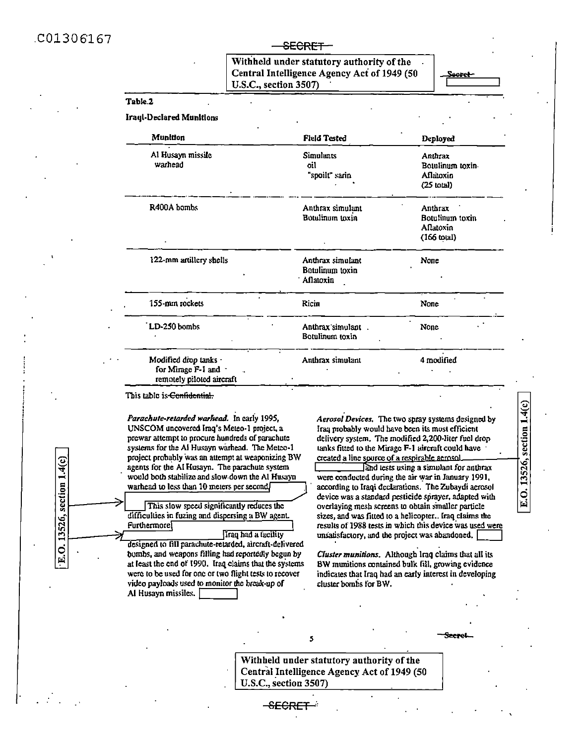$C01306167$ 

section  $1.4(c)$ 

0.13526,

#### **SECRET**

Withheld under statutory authority of the Central Intelligence Agency Act of 1949 (50 U.S.C., section 3507)

Sacret

# Table 2

**Iraul-Declared Munitions** 

| <b>Munition</b>                                                          | <b>Field Tested</b>                              | Deployed                                                         |
|--------------------------------------------------------------------------|--------------------------------------------------|------------------------------------------------------------------|
| Al Husayn missile<br>warhead                                             | Simulants<br>oil<br>"spoilt" sarin               | Anthrax<br>Botulinum toxin<br>Aflatoxin<br>$(25 \text{ total})$  |
| R400A bombs                                                              | Anthrax simulant<br>Botulinum toxin              | Anthrax<br>Botulinum toxin<br>Aflatoxin<br>$(166 \text{ to } 1)$ |
| 122-mm artillery shells                                                  | Anthrax simulant<br>Botulinum toxin<br>Aflatoxin | None                                                             |
| 155-mm rockets                                                           | Ricin                                            | None                                                             |
| LD-250 bombs                                                             | Anthrax simulant.<br>Botulinum toxin             | None                                                             |
| Modified drop tanks .<br>for Mirage F-1 and<br>temoraly niloted size-aft | Anthrax simulant                                 | 4 modified                                                       |

This table is Confidential.

Parachute-retarded warhead. In early 1995, UNSCOM uncovered Iraq's Meteo-1 project, a prewar attempt to procure hundreds of parachute systems for the Al Husayn warhead. The Metco-1 project probably was an attempt at weaponizing BW agents for the Al Husayn. The parachute system would both stabilize and slow down the Al Husayn warhead to less than 10 meters per second/

This slow speed significantly reduces the difficulties in fuzing and dispersing a BW agent. Furthermore<sup>[</sup> lirau had a facility

designed to fill parachute-relarded, aircraft-delivered bombs, and weapons filling had reportedly begun by at least the end of 1990. Iraq claims that the systems were to be used for one or two flight tests to recover video payloads used to monitor the break-up of Al Husayn missiles.

Aerosol Devices. The two spray systems designed by Iraq probably would have been its most efficient delivery system. The modified 2,200-liter fuel drop tanks fitted to the Mirage F-1 aircraft could have created a line source of a respirable aerosol. and lests using a simulant for anthrax were conducted during the air war in January 1991, according to Iraqi declarations. The Zubaydi aerosol device was a standard pesticide sprayer, adapted with overlaying mesh screens to obtain smaller particle sizes, and was fitted to a helicopter.. Iraq claims the results of 1988 tests in which this device was used were E.O. 13526, section 1.4(c)

Cluster munitions. Although Iraq claims that all its BW munitions contained bulk fill, growing evidence indicates that Iraq had an early interest in developing cluster bombs for BW.

unsatisfactory, and the project was abandoned.

Withheld under statutory authority of the Central Intelligence Agency Act of 1949 (50 U.S.C., section 3507)

5

<del>-SECRE</del>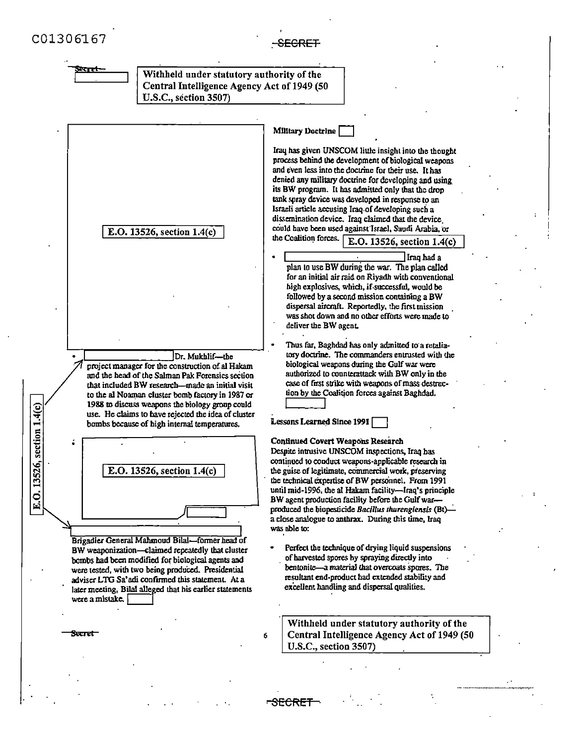

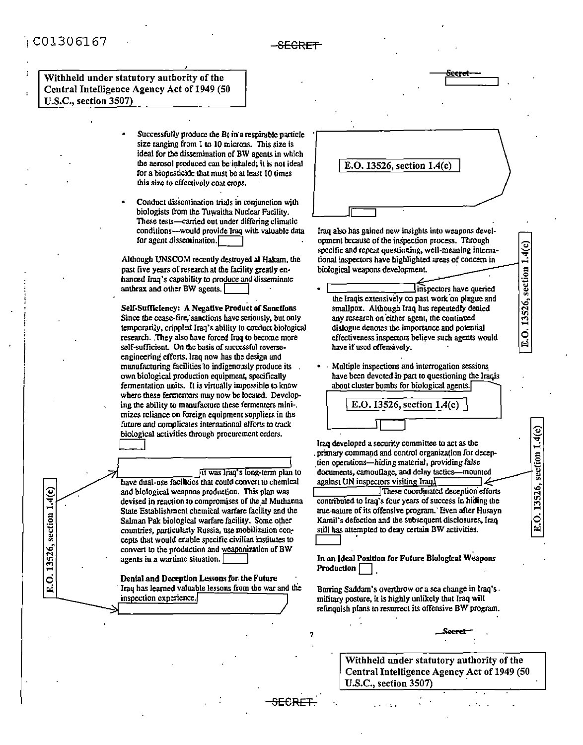# $: C01306167$

 $0.13526$ , section  $1.4(c)$ 

菌

#### -<del>SECRET</del>

Withheld under statutory authority of the Central Intelligence Agency Act of 1949 (50 U.S.C., section 3507)

> Successfully produce the  $Bt$  in a respirable particle size ranging from 1 to 10 microns. This size is ideal for the dissemination of BW agents in which the aerosol produced can be inhaled; it is not ideal for a biopesticide that must be at least 10 times this size to effectively coat crops.

> Conduct dissemination trials in conjunction with biologists from the Tuwaitha Nuclear Facility. These tests—carried out under differing climatic conditions---would provide Iraq with valuable data for agent dissemination. $\Box$

Although UNSCOM recently destroyed al Hakam, the past five years of research at the facility greatly enhanced Iraq's capability to produce and disseminate anthrax and other BW agents.

Self-Sufficiency: A Negative Product of Sanctions Since the cease-fire, sanctions have seriously, but only temporarily, crippled Iraq's ability to conduct biological research. They also have forced Iraq to become more self-sufficient. On the basis of successful reverseengineering efforts, Iraq now has the design and manufacturing facilities to indigenously produce its own biological production equipment, specifically fermentation units. It is virtually impossible to know where these fermentors may now be located. Developing the ability to manufacture these fermenters mini-. mizes reliance on foreign equipment suppliers in the future and complicates international efforts to track biological activities through procurement orders.

lit was lraq's long-term plan to have dual-use facilities that could convert to chemical and biological weapons production. This plan was devised in reaction to compromises of the al Muthanna State Establishment chemical warfare facility and the Salman Pak biological warfare facility. Some other countries, particularly Russia, use mobilization concepts that would enable specific civilian institutes to convert to the production and weaponization of BW agents in a wartime situation.

Denial and Deception Lessons for the Future Iraq has learned valuable lessons from the war and the inspection experience.



Multiple inspections and interrogation sessions have been devoted in part to questioning the Iraqis about cluster bombs for biological agents.

 $E.O. 13526$ , section  $1.4(c)$ 

 $1.4(c)$ 

section

13526,

 $\ddot{\circ}$ 

Iraq developed a security committee to act as the primary command and control organization for deception operations-hiding material, providing false documents, camouflage, and delay tactics-mounted against UN inspectors visiting Iraq.

These coordinated deception efforts contributed to Iraq's four years of success in hiding the true nature of its offensive program. Even after Husayn Kamil's defection and the subsequent disclosures, Iraq still has attempted to deny certain BW activities.

In an Ideal Position for Future Biological Weapons Production

Barring Saddam's overthrow or a sea change in Iraq's. military posture, it is highly unlikely that Iraq will relinquish plans to resurrect its offensive BW program.

> Withheld under statutory authority of the Central Intelligence Agency Act of 1949 (50 U.S.C., section 3507)

<del>SECRET</del>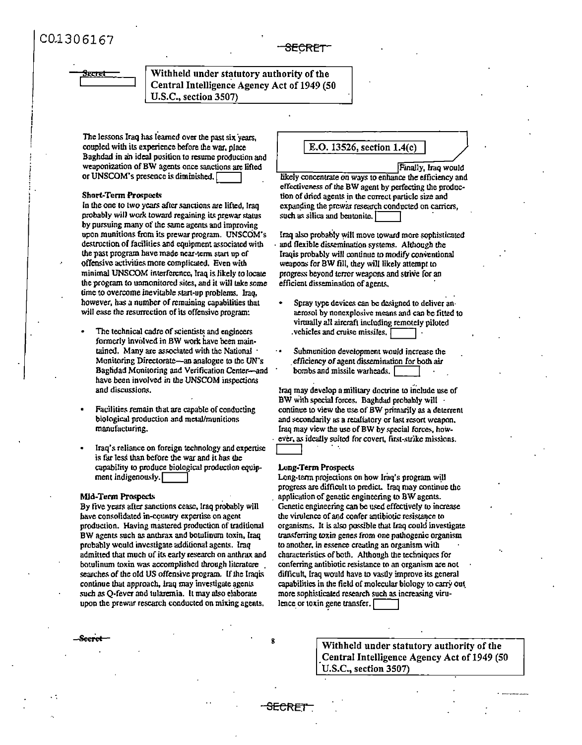# iecret

## Withheld under statutory authority of the Central Intelligence Agency Act of 1949 (50 U.S.C., section 3507)

The lessons Iraq has learned over the past six years. coupled with its experience before the war, place Baghdad in an ideal position to resume production and weaponization of BW agents once sanctions are lifted or UNSCOM's presence is diminished.

#### **Short-Term Prospects**

In the one to two years after sanctions are lifted, Iraq probably will work toward regaining its prewar status by pursuing many of the same agents and improving upon munitions from its prewar program. UNSCOM's destruction of facilities and equipment associated with the past program have made near-term start up of offensive activities more complicated. Even with minimal UNSCOM interference, Iraq is likely to locate the program to unmonitored sites, and it will take some time to overcome inevitable start-up problems. Iraq. however, has a number of remaining capabilities that will ease the resurrection of its offensive program:

- The technical cadre of scientists and engineers formerly involved in BW work have been maintained. Many are associated with the National Monitoring Directorate—an analogue to the UN's Baghdad Monitoring and Verification Center-and have been involved in the UNSCOM inspections and discussions.
- Facilities remain that are capable of conducting biological production and metal/munitions manufacturing.
- Iraq's reliance on foreign technology and expertise is far less than before the war and it has the capability to produce biological production equipment indigenously.

#### **Mid-Term Prospects**

**Seeret** 

By five years after sanctions cease, Iraq probably will have consolidated in-country expertise on agent production. Having mastered production of traditional BW agents such as anthrax and botulinum toxin, Iraq probably would investigate additional agents. Iraq admitted that much of its early research on anthrax and botulinum toxin was accomplished through literature. searches of the old US offensive program. If the Iraqis continue that approach, Iraq may investigate agents such as Q-fever and tularemia. It may also elaborate upon the prewar research conducted on mixing agents.

#### E.O. 13526, section  $1.4(c)$

Finally, Iraq would likely concentrate on ways to enhance the efficiency and effectiveness of the BW agent by perfecting the production of dried agents in the correct particle size and expanding the prewar research conducted on carriers, such as silica and bentonite.

Iraq also probably will move toward more sophisticated and flexible dissemination systems. Although the Iraqis probably will continue to modify conventional weapons for BW fill, they will likely attempt to progress beyond terror weapons and strive for an efficient dissemination of agents.

- Spray type devices can be designed to deliver anaerosol by nonexplosive means and can be fitted to virtually all aircraft including remotely piloted vehicles and cruise missiles.
- Submunition development would increase the efficiency of agent dissemination for both air bombs and missile warheads. I

Iraq may develop a military doctrine to include use of BW with special forces. Baghdad probably will continue to view the use of BW primarily as a deterrent and secondarily as a retaliatory or last resort weapon. Iraq may view the use of BW by special forces, however, as ideally suited for covert. first-strike missions.

#### **Long-Term Prospects**

<del>SECRET</del>

Long-term projections on how Iraq's program will progress are difficult to predict. Iraq may continue the application of genetic engineering to BW agents. Genetic engineering can be used effectively to increase the virulence of and confer antibiotic resistance to organisms. It is also possible that Iraq could investigate transferring toxin genes from one pathogenic organism to another, in essence creating an organism with characteristics of both. Although the techniques for conferring antibiotic resistance to an organism are not difficult, Iraq would have to vastly improve its general capabilities in the field of molecular biology to carry out more sophisticated research such as increasing virulence or toxin gene transfer.

> Withheld under statutory authority of the Central Intelligence Agency Act of 1949 (50 U.S.C., section 3507)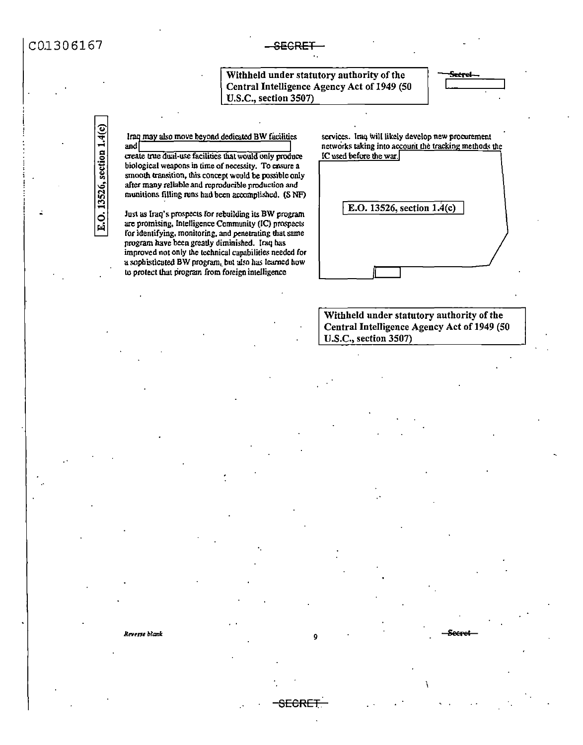# C0.1306167 - SEGRE

SECRET

Withheld under statutory authority of the Central Intelligence Agency Act of 1949 (50 U.S.C., section 3507)

<u>Seerel</u>

lraq may also move beyond dedicated BW facilities and

and  $\overline{\phantom{a}}$ create true dual-use facilities that would only produce **biological weapons in lime of necessity. To ensure a**  smooth transition, this concept would be possible only **after many reliable and reproducible production and**  munitions filling runs bad been accomplished. (S NF)

Just as Iraq's prospects for rebuilding its BW program are promising, Intelligence Community (IC) prospects for identifying, monitoring, and penetrating that same program have been greatly diminished. Iraq bas improved not only the technical capabilities needed for a sophisticated BW program, but also has learned how to protect that program from foreign intelligence

services. Iraq will likely develop new procurement **networks taking into account the tracking methods the** IC used before the war.

<sup>f</sup>E.O. 13526, section l.4(c)

Withheld under statutory authority of the Central Intelligence Agency Act of 1949 (SO U.S.C., section 3507)

*Rt!Vtnt blank.* 9